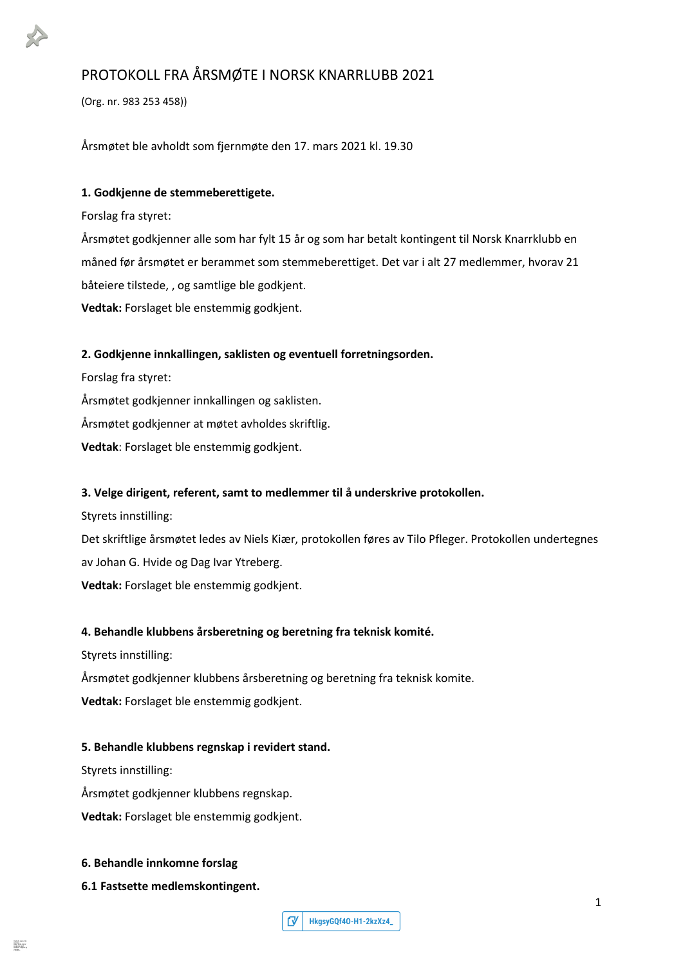# PROTOKOLL FRA ÅRSMØTE I NORSK KNARRLUBB 2021

(Org. nr. 983 253 458))

Årsmøtet ble avholdt som fjernmøte den 17. mars 2021 kl. 19.30

# **1. Godkjenne de stemmeberettigete.**

Forslag fra styret:

Årsmøtet godkjenner alle som har fylt 15 år og som har betalt kontingent til Norsk Knarrklubb en måned før årsmøtet er berammet som stemmeberettiget. Det var i alt 27 medlemmer, hvorav 21 båteiere tilstede, , og samtlige ble godkjent. **Vedtak:** Forslaget ble enstemmig godkjent.

# **2. Godkjenne innkallingen, saklisten og eventuell forretningsorden.**

Forslag fra styret: Årsmøtet godkjenner innkallingen og saklisten. Årsmøtet godkjenner at møtet avholdes skriftlig. **Vedtak**: Forslaget ble enstemmig godkjent.

# **3. Velge dirigent, referent, samt to medlemmer til å underskrive protokollen.**

Styrets innstilling:

Det skriftlige årsmøtet ledes av Niels Kiær, protokollen føres av Tilo Pfleger. Protokollen undertegnes av Johan G. Hvide og Dag Ivar Ytreberg.

**Vedtak:** Forslaget ble enstemmig godkjent.

# **4. Behandle klubbens årsberetning og beretning fra teknisk komité.**

Styrets innstilling:

Årsmøtet godkjenner klubbens årsberetning og beretning fra teknisk komite.

**Vedtak:** Forslaget ble enstemmig godkjent.

#### **5. Behandle klubbens regnskap i revidert stand.**

Styrets innstilling:

Årsmøtet godkjenner klubbens regnskap.

**Vedtak:** Forslaget ble enstemmig godkjent.

#### **6. Behandle innkomne forslag**

**6.1 Fastsette medlemskontingent.**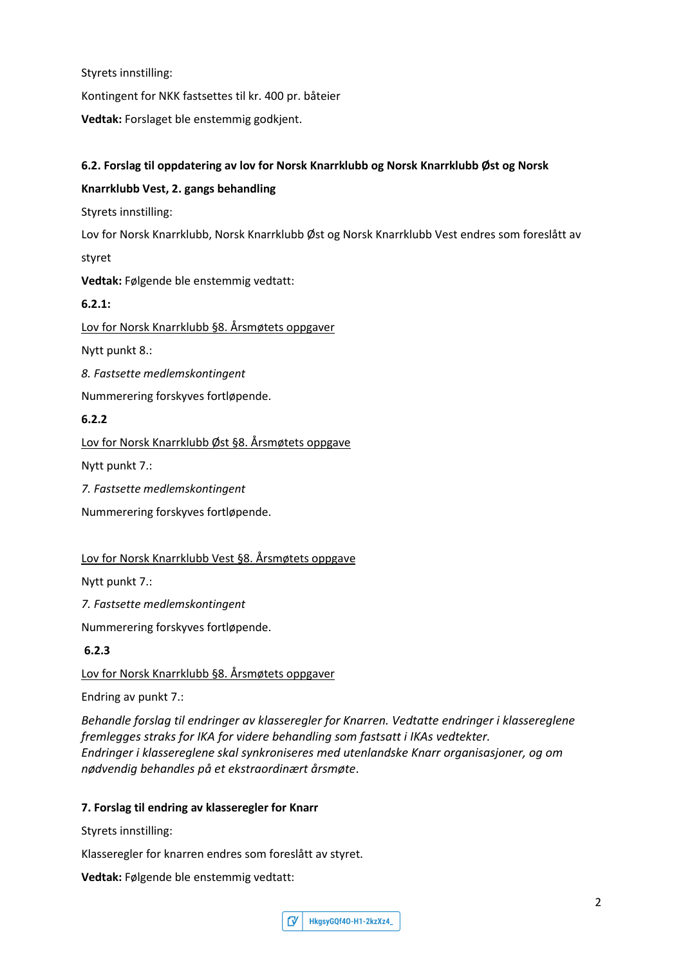Styrets innstilling:

Kontingent for NKK fastsettes til kr. 400 pr. båteier

**Vedtak:** Forslaget ble enstemmig godkjent.

# **6.2. Forslag til oppdatering av lov for Norsk Knarrklubb og Norsk Knarrklubb Øst og Norsk**

# **Knarrklubb Vest, 2. gangs behandling**

Styrets innstilling:

Lov for Norsk Knarrklubb, Norsk Knarrklubb Øst og Norsk Knarrklubb Vest endres som foreslått av styret

**Vedtak:** Følgende ble enstemmig vedtatt:

# **6.2.1:**

Lov for Norsk Knarrklubb §8. Årsmøtets oppgaver

Nytt punkt 8.:

*8. Fastsette medlemskontingent*

Nummerering forskyves fortløpende.

# **6.2.2**

Lov for Norsk Knarrklubb Øst §8. Årsmøtets oppgave

Nytt punkt 7.:

*7. Fastsette medlemskontingent*

Nummerering forskyves fortløpende.

# Lov for Norsk Knarrklubb Vest §8. Årsmøtets oppgave

Nytt punkt 7.:

*7. Fastsette medlemskontingent*

Nummerering forskyves fortløpende.

#### **6.2.3**

Lov for Norsk Knarrklubb §8. Årsmøtets oppgaver

Endring av punkt 7.:

*Behandle forslag til endringer av klasseregler for Knarren. Vedtatte endringer i klassereglene fremlegges straks for IKA for videre behandling som fastsatt i IKAs vedtekter. Endringer i klassereglene skal synkroniseres med utenlandske Knarr organisasjoner, og om nødvendig behandles på et ekstraordinært årsmøte*.

#### **7. Forslag til endring av klasseregler for Knarr**

Styrets innstilling:

Klasseregler for knarren endres som foreslått av styret.

**Vedtak:** Følgende ble enstemmig vedtatt:

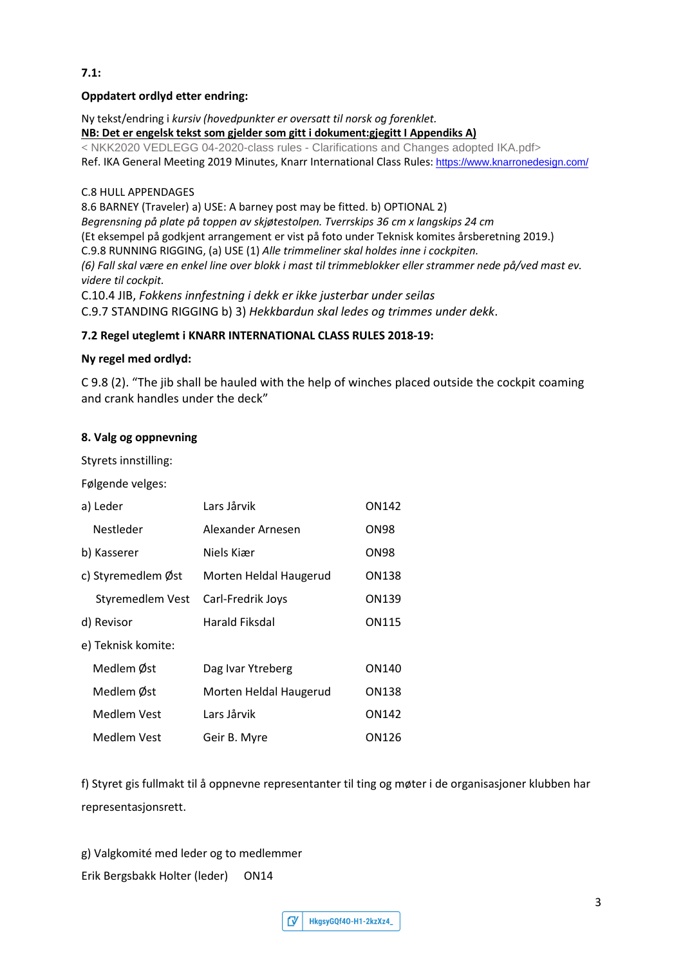# **7.1:**

#### **Oppdatert ordlyd etter endring:**

Ny tekst/endring i *kursiv (hovedpunkter er oversatt til norsk og forenklet.* **NB: Det er engelsk tekst som gjelder som gitt i dokument:gjegitt I Appendiks A) <** NKK2020 VEDLEGG 04-2020-class rules - Clarifications and Changes adopted IKA.pdf**>** Ref. IKA General Meeting 2019 Minutes, Knarr International Class Rules: https:/[/www.knarronedesign.com/](http://www.knarronedesign.com/)

# C.8 HULL APPENDAGES

8.6 BARNEY (Traveler) a) USE: A barney post may be fitted. b) OPTIONAL 2)

*Begrensning på plate på toppen av skjøtestolpen. Tverrskips 36 cm x langskips 24 cm*

(Et eksempel på godkjent arrangement er vist på foto under Teknisk komites årsberetning 2019.)

C.9.8 RUNNING RIGGING, (a) USE (1) *Alle trimmeliner skal holdes inne i cockpiten.*

*(6) Fall skal være en enkel line over blokk i mast til trimmeblokker eller strammer nede på/ved mast ev. videre til cockpit.*

C.10.4 JIB, *Fokkens innfestning i dekk er ikke justerbar under seilas*

C.9.7 STANDING RIGGING b) 3) *Hekkbardun skal ledes og trimmes under dekk*.

# **7.2 Regel uteglemt i KNARR INTERNATIONAL CLASS RULES 2018-19:**

# **Ny regel med ordlyd:**

C 9.8 (2). "The jib shall be hauled with the help of winches placed outside the cockpit coaming and crank handles under the deck"

# **8. Valg og oppnevning**

Styrets innstilling:

Følgende velges:

| a) Leder           | Lars Jårvik            | ON142        |
|--------------------|------------------------|--------------|
| <b>Nestleder</b>   | Alexander Arnesen      | ON98         |
| b) Kasserer        | Niels Kiær             | ON98         |
| c) Styremedlem Øst | Morten Heldal Haugerud | <b>ON138</b> |
| Styremedlem Vest   | Carl-Fredrik Joys      | ON139        |
| d) Revisor         | Harald Fiksdal         | ON115        |
| e) Teknisk komite: |                        |              |
| Medlem Øst         | Dag Ivar Ytreberg      | ON140        |
| Medlem Øst         | Morten Heldal Haugerud | ON138        |
| Medlem Vest        | Lars Jårvik            | ON142        |
| Medlem Vest        | Geir B. Myre           | ON126        |

f) Styret gis fullmakt til å oppnevne representanter til ting og møter i de organisasjoner klubben har representasjonsrett.

g) Valgkomité med leder og to medlemmer Erik Bergsbakk Holter (leder) ON14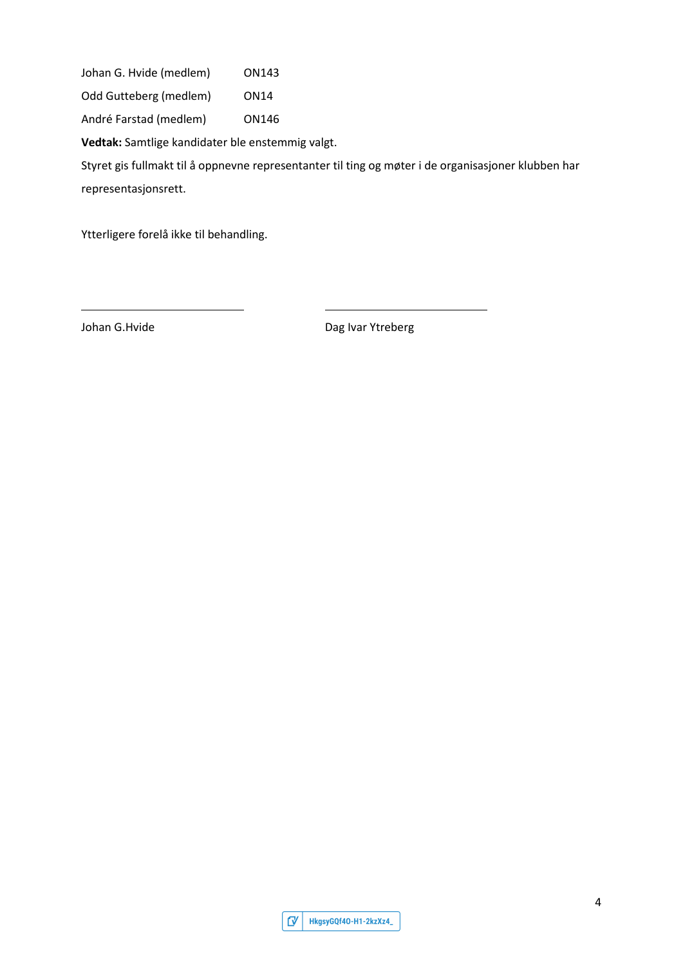Johan G. Hvide (medlem) ON143

Odd Gutteberg (medlem) ON14

André Farstad (medlem) ON146

**Vedtak:** Samtlige kandidater ble enstemmig valgt.

Styret gis fullmakt til å oppnevne representanter til ting og møter i de organisasjoner klubben har representasjonsrett.

Ytterligere forelå ikke til behandling.

Johan G.Hvide **Dag Ivar Ytreberg** 

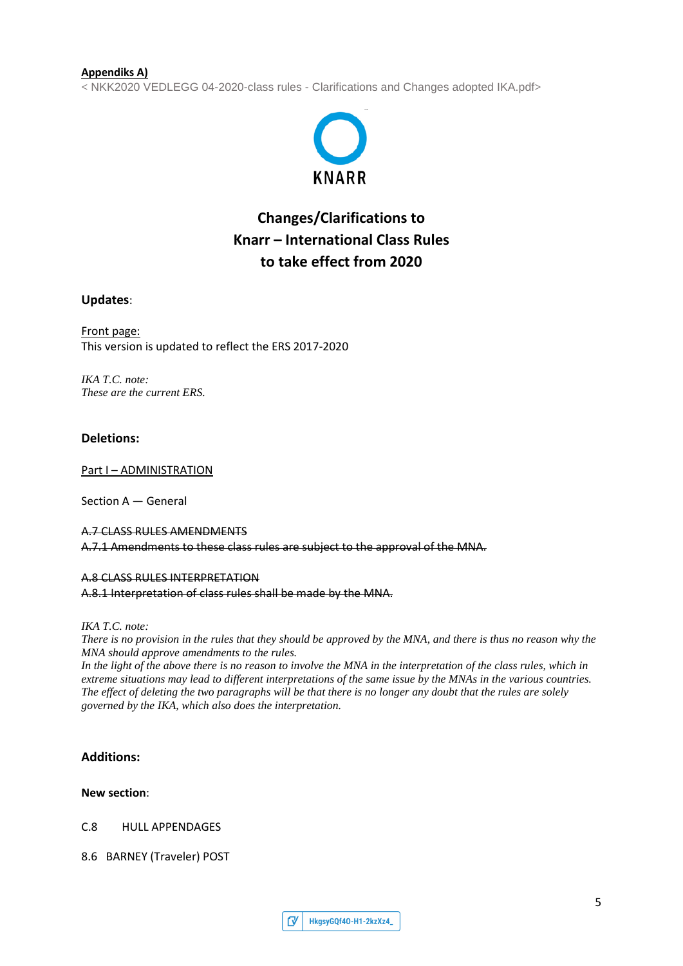#### **Appendiks A)**

**<** NKK2020 VEDLEGG 04-2020-class rules - Clarifications and Changes adopted IKA.pdf**>**



# **Changes/Clarifications to Knarr – International Class Rules to take effect from 2020**

#### **Updates**:

Front page: This version is updated to reflect the ERS 2017-2020

*IKA T.C. note: These are the current ERS.*

#### **Deletions:**

Part I – ADMINISTRATION

Section A — General

# A.7 CLASS RULES AMENDMENTS A.7.1 Amendments to these class rules are subject to the approval of the MNA.

#### A.8 CLASS RULES INTERPRETATION

A.8.1 Interpretation of class rules shall be made by the MNA.

*IKA T.C. note:*

*There is no provision in the rules that they should be approved by the MNA, and there is thus no reason why the MNA should approve amendments to the rules.*

In the light of the above there is no reason to involve the MNA in the interpretation of the class rules, which in *extreme situations may lead to different interpretations of the same issue by the MNAs in the various countries. The effect of deleting the two paragraphs will be that there is no longer any doubt that the rules are solely governed by the IKA, which also does the interpretation.*

#### **Additions:**

#### **New section**:

C.8 HULL APPENDAGES

8.6 BARNEY (Traveler) POST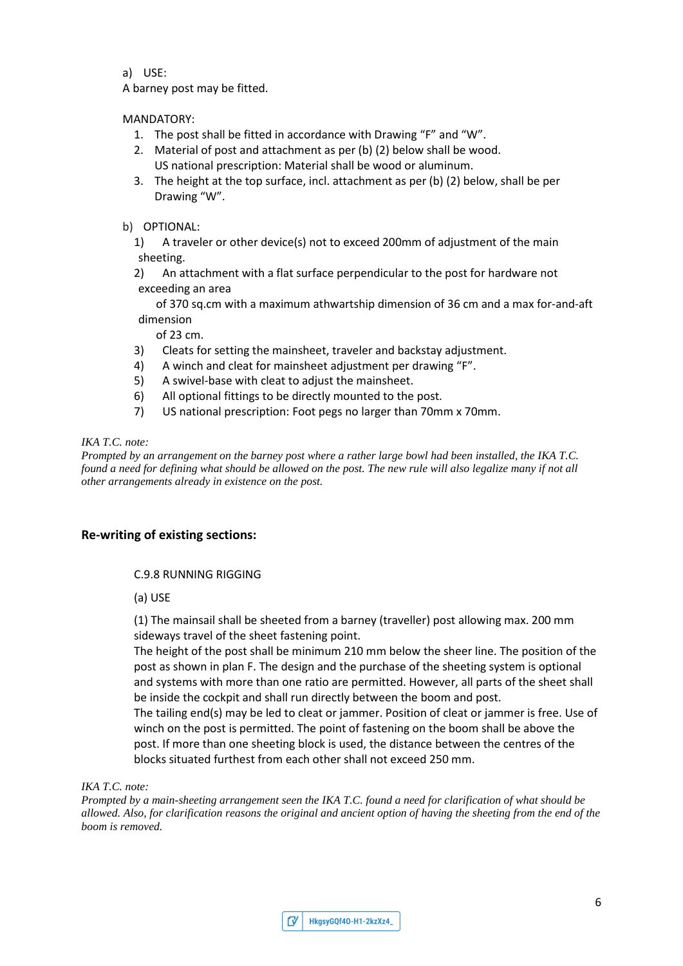a) USE:

A barney post may be fitted.

# MANDATORY:

- 1. The post shall be fitted in accordance with Drawing "F" and "W".
- 2. Material of post and attachment as per (b) (2) below shall be wood. US national prescription: Material shall be wood or aluminum.
- 3. The height at the top surface, incl. attachment as per (b) (2) below, shall be per Drawing "W".

# b) OPTIONAL:

1) A traveler or other device(s) not to exceed 200mm of adjustment of the main sheeting.

2) An attachment with a flat surface perpendicular to the post for hardware not exceeding an area

of 370 sq.cm with a maximum athwartship dimension of 36 cm and a max for-and-aft dimension

of 23 cm.

- 3) Cleats for setting the mainsheet, traveler and backstay adjustment.
- 4) A winch and cleat for mainsheet adjustment per drawing "F".
- 5) A swivel-base with cleat to adjust the mainsheet.
- 6) All optional fittings to be directly mounted to the post.
- 7) US national prescription: Foot pegs no larger than 70mm x 70mm.

#### *IKA T.C. note:*

*Prompted by an arrangement on the barney post where a rather large bowl had been installed, the IKA T.C. found a need for defining what should be allowed on the post. The new rule will also legalize many if not all other arrangements already in existence on the post.* 

# **Re-writing of existing sections:**

#### C.9.8 RUNNING RIGGING

(a) USE

(1) The mainsail shall be sheeted from a barney (traveller) post allowing max. 200 mm sideways travel of the sheet fastening point.

The height of the post shall be minimum 210 mm below the sheer line. The position of the post as shown in plan F. The design and the purchase of the sheeting system is optional and systems with more than one ratio are permitted. However, all parts of the sheet shall be inside the cockpit and shall run directly between the boom and post.

The tailing end(s) may be led to cleat or jammer. Position of cleat or jammer is free. Use of winch on the post is permitted. The point of fastening on the boom shall be above the post. If more than one sheeting block is used, the distance between the centres of the blocks situated furthest from each other shall not exceed 250 mm.

#### *IKA T.C. note:*

*Prompted by a main-sheeting arrangement seen the IKA T.C. found a need for clarification of what should be allowed. Also, for clarification reasons the original and ancient option of having the sheeting from the end of the boom is removed.*

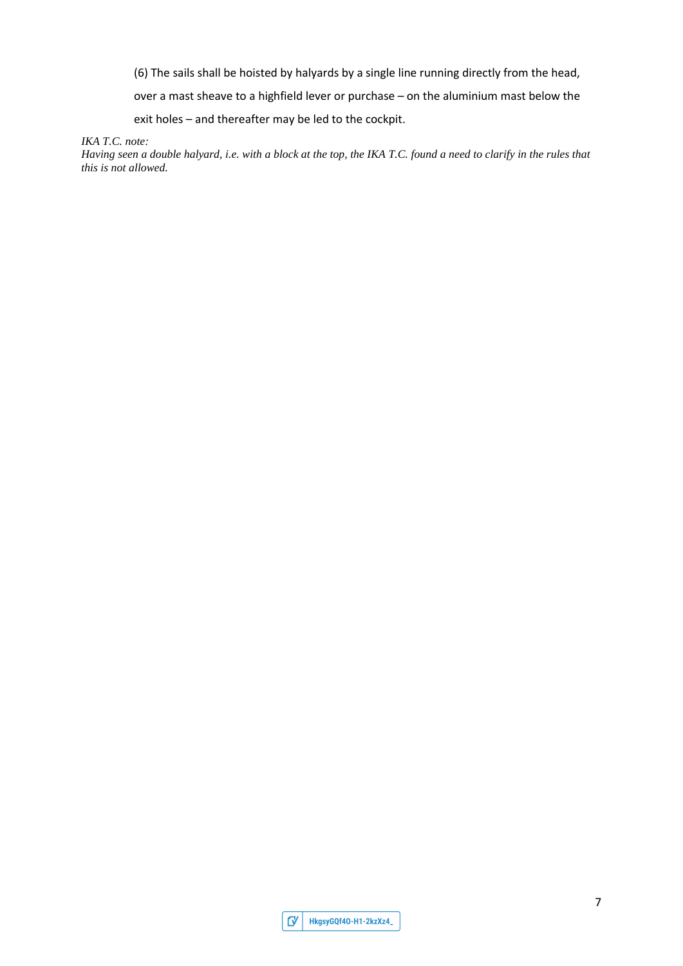(6) The sails shall be hoisted by halyards by a single line running directly from the head,

over a mast sheave to a highfield lever or purchase – on the aluminium mast below the

exit holes – and thereafter may be led to the cockpit.

*IKA T.C. note:*

*Having seen a double halyard, i.e. with a block at the top, the IKA T.C. found a need to clarify in the rules that this is not allowed.*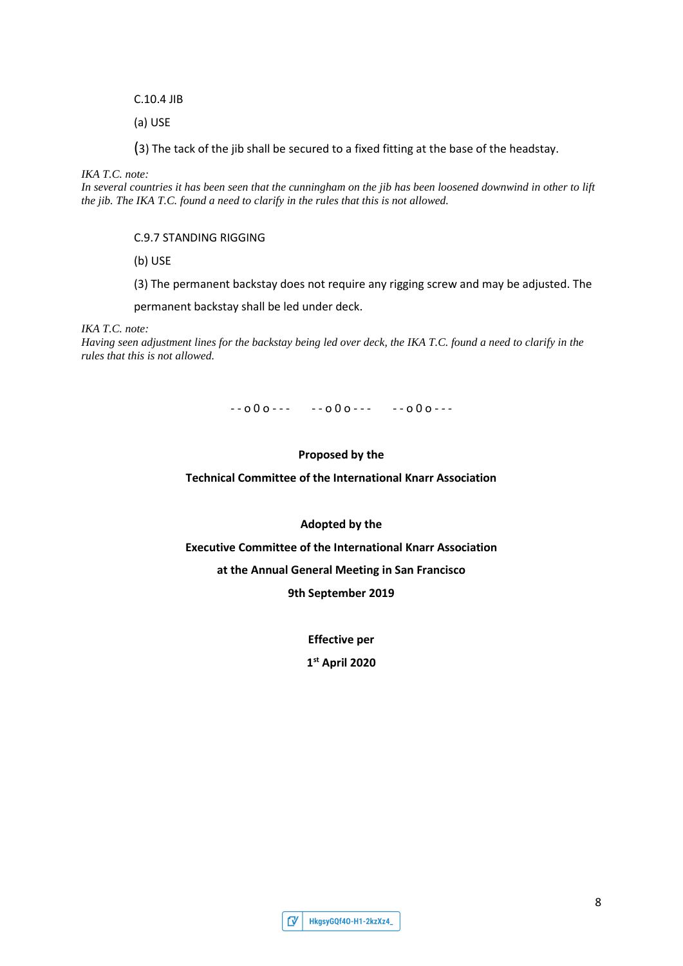C.10.4 JIB

(a) USE

(3) The tack of the jib shall be secured to a fixed fitting at the base of the headstay.

*IKA T.C. note:*

*In several countries it has been seen that the cunningham on the jib has been loosened downwind in other to lift the jib. The IKA T.C. found a need to clarify in the rules that this is not allowed.*

#### C.9.7 STANDING RIGGING

(b) USE

(3) The permanent backstay does not require any rigging screw and may be adjusted. The

permanent backstay shall be led under deck.

*IKA T.C. note:*

*Having seen adjustment lines for the backstay being led over deck, the IKA T.C. found a need to clarify in the rules that this is not allowed.*

 $-000$  - - - - - 000 - - - - - 000 - - -

#### **Proposed by the**

**Technical Committee of the International Knarr Association**

#### **Adopted by the**

**Executive Committee of the International Knarr Association**

**at the Annual General Meeting in San Francisco**

**9th September 2019**

**Effective per**

**1st April 2020**